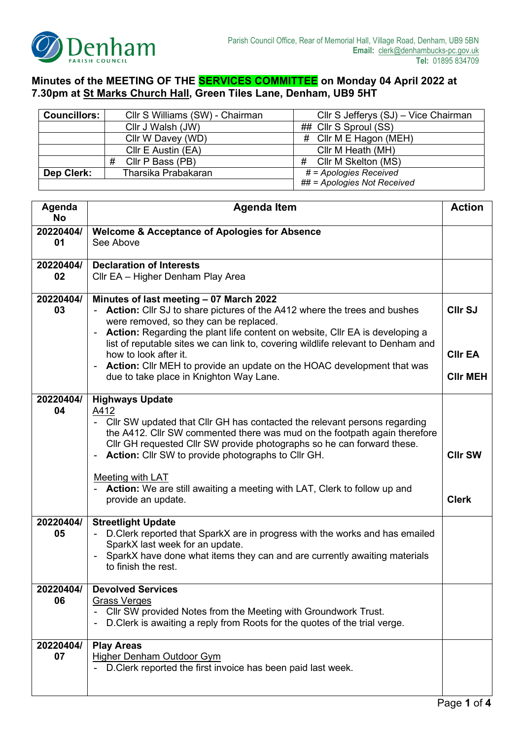

## **Minutes of the MEETING OF THE SERVICES COMMITTEE on Monday 04 April 2022 at 7.30pm at St Marks Church Hall, Green Tiles Lane, Denham, UB9 5HT**

| Councillors: | Cllr S Williams (SW) - Chairman<br>Cllr S Jefferys (SJ) – Vice Chairman |                             |
|--------------|-------------------------------------------------------------------------|-----------------------------|
|              | Cllr J Walsh (JW)                                                       | ## Cllr S Sproul (SS)       |
|              | Cllr W Davey (WD)                                                       | $\#$ Cllr M E Hagon (MEH)   |
|              | Cllr E Austin (EA)                                                      | Cllr M Heath (MH)           |
|              | Cllr P Bass (PB)<br>#                                                   | Cllr M Skelton (MS)<br>#    |
| Dep Clerk:   | Tharsika Prabakaran                                                     | # = Apologies Received      |
|              |                                                                         | ## = Apologies Not Received |

| Agenda<br><b>No</b> | <b>Agenda Item</b>                                                                                                                                                                                                                                                                                                                                                                                                                                                                                              |                                                     |
|---------------------|-----------------------------------------------------------------------------------------------------------------------------------------------------------------------------------------------------------------------------------------------------------------------------------------------------------------------------------------------------------------------------------------------------------------------------------------------------------------------------------------------------------------|-----------------------------------------------------|
| 20220404/<br>01     | <b>Welcome &amp; Acceptance of Apologies for Absence</b><br>See Above                                                                                                                                                                                                                                                                                                                                                                                                                                           |                                                     |
| 20220404/<br>02     | <b>Declaration of Interests</b><br>Cllr EA - Higher Denham Play Area                                                                                                                                                                                                                                                                                                                                                                                                                                            |                                                     |
| 20220404/<br>03     | Minutes of last meeting - 07 March 2022<br><b>Action:</b> Cllr SJ to share pictures of the A412 where the trees and bushes<br>were removed, so they can be replaced.<br>Action: Regarding the plant life content on website, CIIr EA is developing a<br>list of reputable sites we can link to, covering wildlife relevant to Denham and<br>how to look after it.<br><b>Action:</b> Cllr MEH to provide an update on the HOAC development that was<br>$\blacksquare$<br>due to take place in Knighton Way Lane. | <b>CIIr SJ</b><br><b>CIIr EA</b><br><b>CIIr MEH</b> |
| 20220404/<br>04     | <b>Highways Update</b><br>A412<br>- Cllr SW updated that Cllr GH has contacted the relevant persons regarding<br>the A412. Cllr SW commented there was mud on the footpath again therefore<br>Cllr GH requested Cllr SW provide photographs so he can forward these.<br><b>Action:</b> Cllr SW to provide photographs to Cllr GH.<br>$\blacksquare$<br>Meeting with LAT<br>Action: We are still awaiting a meeting with LAT, Clerk to follow up and<br>provide an update.                                       | <b>CIIr SW</b><br><b>Clerk</b>                      |
| 20220404/<br>05     | <b>Streetlight Update</b><br>D. Clerk reported that SparkX are in progress with the works and has emailed<br>SparkX last week for an update.<br>SparkX have done what items they can and are currently awaiting materials<br>to finish the rest.                                                                                                                                                                                                                                                                |                                                     |
| 20220404/<br>06     | <b>Devolved Services</b><br><b>Grass Verges</b><br>Cllr SW provided Notes from the Meeting with Groundwork Trust.<br>D. Clerk is awaiting a reply from Roots for the quotes of the trial verge.                                                                                                                                                                                                                                                                                                                 |                                                     |
| 20220404/<br>07     | <b>Play Areas</b><br><b>Higher Denham Outdoor Gym</b><br>D. Clerk reported the first invoice has been paid last week.                                                                                                                                                                                                                                                                                                                                                                                           |                                                     |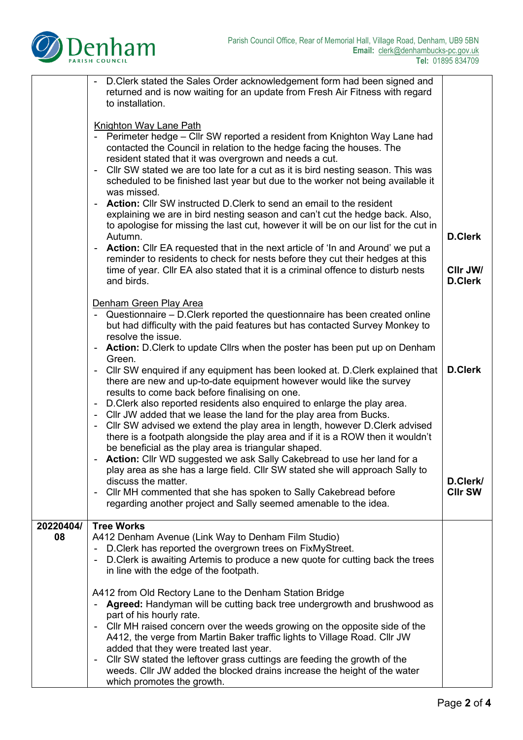

|           | D. Clerk stated the Sales Order acknowledgement form had been signed and                                                                                        |                |
|-----------|-----------------------------------------------------------------------------------------------------------------------------------------------------------------|----------------|
|           | returned and is now waiting for an update from Fresh Air Fitness with regard<br>to installation.                                                                |                |
|           |                                                                                                                                                                 |                |
|           |                                                                                                                                                                 |                |
|           | <b>Knighton Way Lane Path</b>                                                                                                                                   |                |
|           | - Perimeter hedge - Cllr SW reported a resident from Knighton Way Lane had<br>contacted the Council in relation to the hedge facing the houses. The             |                |
|           | resident stated that it was overgrown and needs a cut.                                                                                                          |                |
|           | CIIr SW stated we are too late for a cut as it is bird nesting season. This was<br>$\sim$                                                                       |                |
|           | scheduled to be finished last year but due to the worker not being available it                                                                                 |                |
|           | was missed.                                                                                                                                                     |                |
|           | - Action: Cllr SW instructed D. Clerk to send an email to the resident                                                                                          |                |
|           | explaining we are in bird nesting season and can't cut the hedge back. Also,                                                                                    |                |
|           | to apologise for missing the last cut, however it will be on our list for the cut in                                                                            |                |
|           | Autumn.                                                                                                                                                         | <b>D.Clerk</b> |
|           | Action: Cllr EA requested that in the next article of 'In and Around' we put a<br>reminder to residents to check for nests before they cut their hedges at this |                |
|           | time of year. Cllr EA also stated that it is a criminal offence to disturb nests                                                                                | CIIr JW/       |
|           | and birds.                                                                                                                                                      | <b>D.Clerk</b> |
|           |                                                                                                                                                                 |                |
|           | Denham Green Play Area                                                                                                                                          |                |
|           | - Questionnaire - D. Clerk reported the questionnaire has been created online                                                                                   |                |
|           | but had difficulty with the paid features but has contacted Survey Monkey to                                                                                    |                |
|           | resolve the issue.                                                                                                                                              |                |
|           | - Action: D.Clerk to update Cllrs when the poster has been put up on Denham<br>Green.                                                                           |                |
|           | Cllr SW enquired if any equipment has been looked at. D. Clerk explained that                                                                                   | <b>D.Clerk</b> |
|           | there are new and up-to-date equipment however would like the survey                                                                                            |                |
|           | results to come back before finalising on one.                                                                                                                  |                |
|           | - D. Clerk also reported residents also enquired to enlarge the play area.                                                                                      |                |
|           | - Cllr JW added that we lease the land for the play area from Bucks.                                                                                            |                |
|           | CIIr SW advised we extend the play area in length, however D. Clerk advised                                                                                     |                |
|           | there is a footpath alongside the play area and if it is a ROW then it wouldn't                                                                                 |                |
|           | be beneficial as the play area is triangular shaped.<br>Action: Cllr WD suggested we ask Sally Cakebread to use her land for a                                  |                |
|           | play area as she has a large field. Cllr SW stated she will approach Sally to                                                                                   |                |
|           | discuss the matter.                                                                                                                                             | D.Clerk/       |
|           | Cllr MH commented that she has spoken to Sally Cakebread before                                                                                                 | <b>CIIr SW</b> |
|           | regarding another project and Sally seemed amenable to the idea.                                                                                                |                |
|           |                                                                                                                                                                 |                |
| 20220404/ | <b>Tree Works</b>                                                                                                                                               |                |
| 08        | A412 Denham Avenue (Link Way to Denham Film Studio)                                                                                                             |                |
|           | D. Clerk has reported the overgrown trees on FixMyStreet.<br>$\blacksquare$<br>D. Clerk is awaiting Artemis to produce a new quote for cutting back the trees   |                |
|           | in line with the edge of the footpath.                                                                                                                          |                |
|           |                                                                                                                                                                 |                |
|           | A412 from Old Rectory Lane to the Denham Station Bridge                                                                                                         |                |
|           | Agreed: Handyman will be cutting back tree undergrowth and brushwood as                                                                                         |                |
|           | part of his hourly rate.                                                                                                                                        |                |
|           | Cllr MH raised concern over the weeds growing on the opposite side of the                                                                                       |                |
|           | A412, the verge from Martin Baker traffic lights to Village Road. Cllr JW                                                                                       |                |
|           | added that they were treated last year.<br>Cllr SW stated the leftover grass cuttings are feeding the growth of the                                             |                |
|           | weeds. Cllr JW added the blocked drains increase the height of the water                                                                                        |                |
|           | which promotes the growth.                                                                                                                                      |                |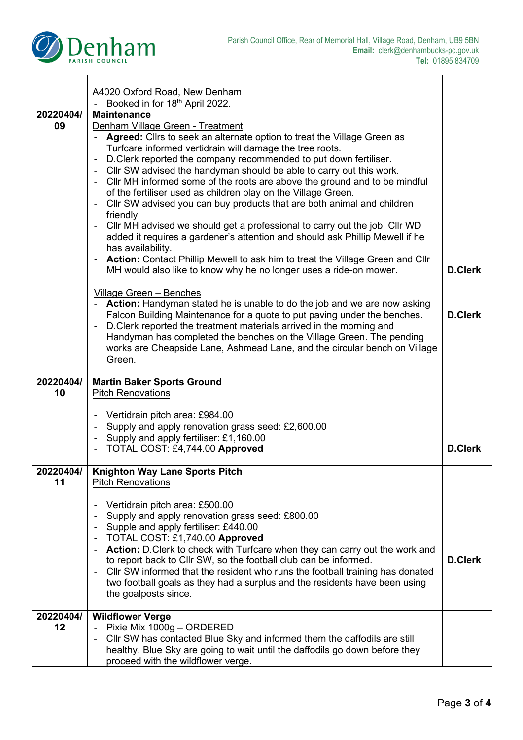

 $\overline{\phantom{0}}$ 

|                 | A4020 Oxford Road, New Denham<br>- Booked in for 18th April 2022.                                                                                                                                                                                                                                                                                                                                                                                                                                                                                                                                                                                                                                                                                                                                                                                                                                                                                                                                                                                                                                                                                                                                                                                                                                                                                                                                 |                                  |
|-----------------|---------------------------------------------------------------------------------------------------------------------------------------------------------------------------------------------------------------------------------------------------------------------------------------------------------------------------------------------------------------------------------------------------------------------------------------------------------------------------------------------------------------------------------------------------------------------------------------------------------------------------------------------------------------------------------------------------------------------------------------------------------------------------------------------------------------------------------------------------------------------------------------------------------------------------------------------------------------------------------------------------------------------------------------------------------------------------------------------------------------------------------------------------------------------------------------------------------------------------------------------------------------------------------------------------------------------------------------------------------------------------------------------------|----------------------------------|
| 20220404/       | <b>Maintenance</b>                                                                                                                                                                                                                                                                                                                                                                                                                                                                                                                                                                                                                                                                                                                                                                                                                                                                                                                                                                                                                                                                                                                                                                                                                                                                                                                                                                                |                                  |
| 09              | Denham Village Green - Treatment<br>Agreed: Cllrs to seek an alternate option to treat the Village Green as<br>Turfcare informed vertidrain will damage the tree roots.<br>D. Clerk reported the company recommended to put down fertiliser.<br>$\blacksquare$<br>Cllr SW advised the handyman should be able to carry out this work.<br>$\blacksquare$<br>Cllr MH informed some of the roots are above the ground and to be mindful<br>$\blacksquare$<br>of the fertiliser used as children play on the Village Green.<br>Cllr SW advised you can buy products that are both animal and children<br>friendly.<br>Cllr MH advised we should get a professional to carry out the job. Cllr WD<br>added it requires a gardener's attention and should ask Phillip Mewell if he<br>has availability.<br><b>Action:</b> Contact Phillip Mewell to ask him to treat the Village Green and Cllr<br>MH would also like to know why he no longer uses a ride-on mower.<br><b>Village Green - Benches</b><br>- Action: Handyman stated he is unable to do the job and we are now asking<br>Falcon Building Maintenance for a quote to put paving under the benches.<br>D. Clerk reported the treatment materials arrived in the morning and<br>Handyman has completed the benches on the Village Green. The pending<br>works are Cheapside Lane, Ashmead Lane, and the circular bench on Village<br>Green. | <b>D.Clerk</b><br><b>D.Clerk</b> |
|                 |                                                                                                                                                                                                                                                                                                                                                                                                                                                                                                                                                                                                                                                                                                                                                                                                                                                                                                                                                                                                                                                                                                                                                                                                                                                                                                                                                                                                   |                                  |
|                 |                                                                                                                                                                                                                                                                                                                                                                                                                                                                                                                                                                                                                                                                                                                                                                                                                                                                                                                                                                                                                                                                                                                                                                                                                                                                                                                                                                                                   |                                  |
| 20220404/<br>10 | <b>Martin Baker Sports Ground</b><br><b>Pitch Renovations</b>                                                                                                                                                                                                                                                                                                                                                                                                                                                                                                                                                                                                                                                                                                                                                                                                                                                                                                                                                                                                                                                                                                                                                                                                                                                                                                                                     |                                  |
|                 |                                                                                                                                                                                                                                                                                                                                                                                                                                                                                                                                                                                                                                                                                                                                                                                                                                                                                                                                                                                                                                                                                                                                                                                                                                                                                                                                                                                                   |                                  |
|                 | Vertidrain pitch area: £984.00<br>Supply and apply renovation grass seed: £2,600.00                                                                                                                                                                                                                                                                                                                                                                                                                                                                                                                                                                                                                                                                                                                                                                                                                                                                                                                                                                                                                                                                                                                                                                                                                                                                                                               |                                  |
|                 | Supply and apply fertiliser: £1,160.00                                                                                                                                                                                                                                                                                                                                                                                                                                                                                                                                                                                                                                                                                                                                                                                                                                                                                                                                                                                                                                                                                                                                                                                                                                                                                                                                                            |                                  |
|                 | TOTAL COST: £4,744.00 Approved                                                                                                                                                                                                                                                                                                                                                                                                                                                                                                                                                                                                                                                                                                                                                                                                                                                                                                                                                                                                                                                                                                                                                                                                                                                                                                                                                                    | <b>D.Clerk</b>                   |
| 20220404/       | <b>Knighton Way Lane Sports Pitch</b>                                                                                                                                                                                                                                                                                                                                                                                                                                                                                                                                                                                                                                                                                                                                                                                                                                                                                                                                                                                                                                                                                                                                                                                                                                                                                                                                                             |                                  |
| 11              | Pitch Renovations                                                                                                                                                                                                                                                                                                                                                                                                                                                                                                                                                                                                                                                                                                                                                                                                                                                                                                                                                                                                                                                                                                                                                                                                                                                                                                                                                                                 |                                  |
|                 | Vertidrain pitch area: £500.00                                                                                                                                                                                                                                                                                                                                                                                                                                                                                                                                                                                                                                                                                                                                                                                                                                                                                                                                                                                                                                                                                                                                                                                                                                                                                                                                                                    |                                  |
|                 | Supply and apply renovation grass seed: £800.00<br>Supple and apply fertiliser: £440.00                                                                                                                                                                                                                                                                                                                                                                                                                                                                                                                                                                                                                                                                                                                                                                                                                                                                                                                                                                                                                                                                                                                                                                                                                                                                                                           |                                  |
|                 | TOTAL COST: £1,740.00 Approved<br>۰<br><b>Action:</b> D.Clerk to check with Turfcare when they can carry out the work and                                                                                                                                                                                                                                                                                                                                                                                                                                                                                                                                                                                                                                                                                                                                                                                                                                                                                                                                                                                                                                                                                                                                                                                                                                                                         |                                  |
|                 | to report back to Cllr SW, so the football club can be informed.                                                                                                                                                                                                                                                                                                                                                                                                                                                                                                                                                                                                                                                                                                                                                                                                                                                                                                                                                                                                                                                                                                                                                                                                                                                                                                                                  | <b>D.Clerk</b>                   |
|                 | CIIr SW informed that the resident who runs the football training has donated<br>$\blacksquare$<br>two football goals as they had a surplus and the residents have been using<br>the goalposts since.                                                                                                                                                                                                                                                                                                                                                                                                                                                                                                                                                                                                                                                                                                                                                                                                                                                                                                                                                                                                                                                                                                                                                                                             |                                  |
|                 |                                                                                                                                                                                                                                                                                                                                                                                                                                                                                                                                                                                                                                                                                                                                                                                                                                                                                                                                                                                                                                                                                                                                                                                                                                                                                                                                                                                                   |                                  |
| 20220404/<br>12 | <b>Wildflower Verge</b><br>Pixie Mix 1000g - ORDERED                                                                                                                                                                                                                                                                                                                                                                                                                                                                                                                                                                                                                                                                                                                                                                                                                                                                                                                                                                                                                                                                                                                                                                                                                                                                                                                                              |                                  |
|                 | CIIr SW has contacted Blue Sky and informed them the daffodils are still<br>healthy. Blue Sky are going to wait until the daffodils go down before they                                                                                                                                                                                                                                                                                                                                                                                                                                                                                                                                                                                                                                                                                                                                                                                                                                                                                                                                                                                                                                                                                                                                                                                                                                           |                                  |